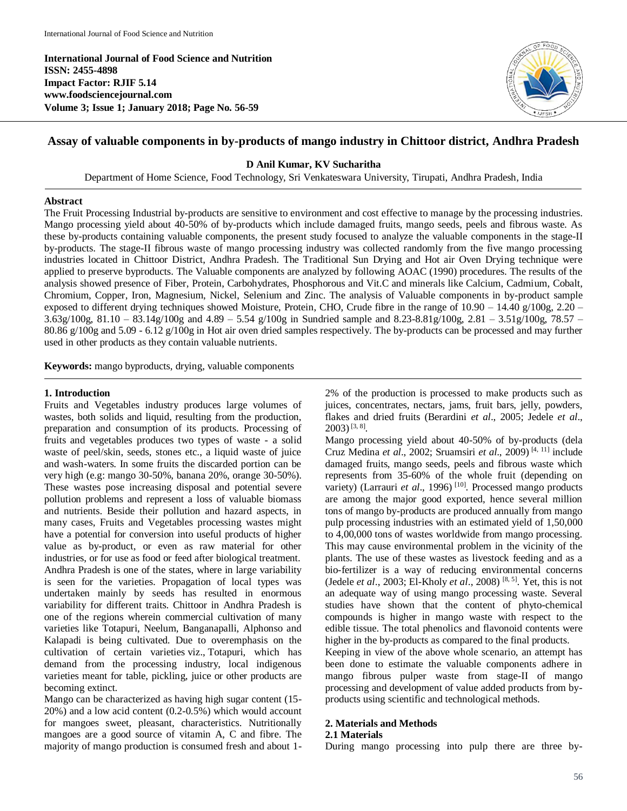**International Journal of Food Science and Nutrition ISSN: 2455-4898 Impact Factor: RJIF 5.14 www.foodsciencejournal.com Volume 3; Issue 1; January 2018; Page No. 56-59**



# **Assay of valuable components in by-products of mango industry in Chittoor district, Andhra Pradesh**

### **D Anil Kumar, KV Sucharitha**

Department of Home Science, Food Technology, Sri Venkateswara University, Tirupati, Andhra Pradesh, India

### **Abstract**

The Fruit Processing Industrial by-products are sensitive to environment and cost effective to manage by the processing industries. Mango processing yield about 40-50% of by-products which include damaged fruits, mango seeds, peels and fibrous waste. As these by-products containing valuable components, the present study focused to analyze the valuable components in the stage-II by-products. The stage-II fibrous waste of mango processing industry was collected randomly from the five mango processing industries located in Chittoor District, Andhra Pradesh. The Traditional Sun Drying and Hot air Oven Drying technique were applied to preserve byproducts. The Valuable components are analyzed by following AOAC (1990) procedures. The results of the analysis showed presence of Fiber, Protein, Carbohydrates, Phosphorous and Vit.C and minerals like Calcium, Cadmium, Cobalt, Chromium, Copper, Iron, Magnesium, Nickel, Selenium and Zinc. The analysis of Valuable components in by-product sample exposed to different drying techniques showed Moisture, Protein, CHO, Crude fibre in the range of  $10.90 - 14.40$  g/100g,  $2.20 -$ 3.63g/100g, 81.10 – 83.14g/100g and 4.89 – 5.54 g/100g in Sundried sample and 8.23-8.81g/100g, 2.81 – 3.51g/100g, 78.57 – 80.86 g/100g and 5.09 - 6.12 g/100g in Hot air oven dried samples respectively. The by-products can be processed and may further used in other products as they contain valuable nutrients.

**Keywords:** mango byproducts, drying, valuable components

### **1. Introduction**

Fruits and Vegetables industry produces large volumes of wastes, both solids and liquid, resulting from the production, preparation and consumption of its products. Processing of fruits and vegetables produces two types of waste - a solid waste of peel/skin, seeds, stones etc., a liquid waste of juice and wash-waters. In some fruits the discarded portion can be very high (e.g: mango 30-50%, banana 20%, orange 30-50%). These wastes pose increasing disposal and potential severe pollution problems and represent a loss of valuable biomass and nutrients. Beside their pollution and hazard aspects, in many cases, Fruits and Vegetables processing wastes might have a potential for conversion into useful products of higher value as by-product, or even as raw material for other industries, or for use as food or feed after biological treatment. Andhra Pradesh is one of the states, where in large variability is seen for the varieties. Propagation of local types was undertaken mainly by seeds has resulted in enormous variability for different traits. Chittoor in Andhra Pradesh is one of the regions wherein commercial cultivation of many varieties like Totapuri, Neelum, Banganapalli, Alphonso and Kalapadi is being cultivated. Due to overemphasis on the cultivation of certain varieties viz., Totapuri, which has demand from the processing industry, local indigenous varieties meant for table, pickling, juice or other products are becoming extinct.

Mango can be characterized as having high sugar content (15- 20%) and a low acid content (0.2-0.5%) which would account for mangoes sweet, pleasant, characteristics. Nutritionally mangoes are a good source of vitamin A, C and fibre. The majority of mango production is consumed fresh and about 1-

2% of the production is processed to make products such as juices, concentrates, nectars, jams, fruit bars, jelly, powders, flakes and dried fruits (Berardini *et al*., 2005; Jedele *et al*.,  $2003)$ <sup>[3, 8]</sup>.

Mango processing yield about 40-50% of by-products (dela Cruz Medina *et al*., 2002; Sruamsiri *et al*., 2009) [4, 11] include damaged fruits, mango seeds, peels and fibrous waste which represents from 35-60% of the whole fruit (depending on variety) (Larrauri *et al.*, 1996)<sup>[10]</sup>. Processed mango products are among the major good exported, hence several million tons of mango by-products are produced annually from mango pulp processing industries with an estimated yield of 1,50,000 to 4,00,000 tons of wastes worldwide from mango processing. This may cause environmental problem in the vicinity of the plants. The use of these wastes as livestock feeding and as a bio-fertilizer is a way of reducing environmental concerns (Jedele *et al*., 2003; El-Kholy *et al*., 2008) [8, 5] . Yet, this is not an adequate way of using mango processing waste. Several studies have shown that the content of phyto-chemical compounds is higher in mango waste with respect to the edible tissue. The total phenolics and flavonoid contents were higher in the by-products as compared to the final products.

Keeping in view of the above whole scenario, an attempt has been done to estimate the valuable components adhere in mango fibrous pulper waste from stage-II of mango processing and development of value added products from byproducts using scientific and technological methods.

### **2. Materials and Methods**

### **2.1 Materials**

During mango processing into pulp there are three by-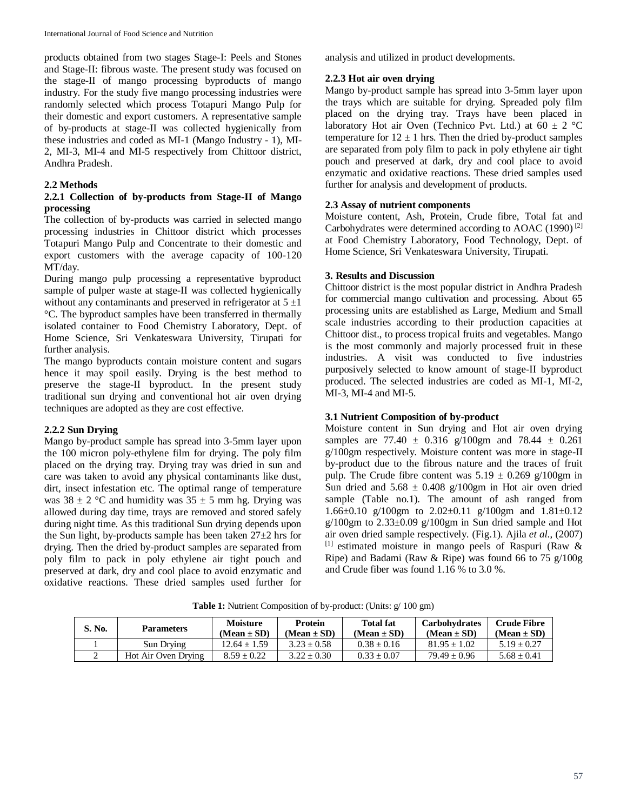products obtained from two stages Stage-I: Peels and Stones and Stage-II: fibrous waste. The present study was focused on the stage-II of mango processing byproducts of mango industry. For the study five mango processing industries were randomly selected which process Totapuri Mango Pulp for their domestic and export customers. A representative sample of by-products at stage-II was collected hygienically from these industries and coded as MI-1 (Mango Industry - 1), MI-2, MI-3, MI-4 and MI-5 respectively from Chittoor district, Andhra Pradesh.

## **2.2 Methods**

## **2.2.1 Collection of by-products from Stage-II of Mango processing**

The collection of by-products was carried in selected mango processing industries in Chittoor district which processes Totapuri Mango Pulp and Concentrate to their domestic and export customers with the average capacity of 100-120 MT/day.

During mango pulp processing a representative byproduct sample of pulper waste at stage-II was collected hygienically without any contaminants and preserved in refrigerator at  $5 \pm 1$ °C. The byproduct samples have been transferred in thermally isolated container to Food Chemistry Laboratory, Dept. of Home Science, Sri Venkateswara University, Tirupati for further analysis.

The mango byproducts contain moisture content and sugars hence it may spoil easily. Drying is the best method to preserve the stage-II byproduct. In the present study traditional sun drying and conventional hot air oven drying techniques are adopted as they are cost effective.

## **2.2.2 Sun Drying**

Mango by-product sample has spread into 3-5mm layer upon the 100 micron poly-ethylene film for drying. The poly film placed on the drying tray. Drying tray was dried in sun and care was taken to avoid any physical contaminants like dust, dirt, insect infestation etc. The optimal range of temperature was  $38 \pm 2$  °C and humidity was  $35 \pm 5$  mm hg. Drying was allowed during day time, trays are removed and stored safely during night time. As this traditional Sun drying depends upon the Sun light, by-products sample has been taken  $27\pm2$  hrs for drying. Then the dried by-product samples are separated from poly film to pack in poly ethylene air tight pouch and preserved at dark, dry and cool place to avoid enzymatic and oxidative reactions. These dried samples used further for

analysis and utilized in product developments.

## **2.2.3 Hot air oven drying**

Mango by-product sample has spread into 3-5mm layer upon the trays which are suitable for drying. Spreaded poly film placed on the drying tray. Trays have been placed in laboratory Hot air Oven (Technico Pvt. Ltd.) at  $60 \pm 2$  °C temperature for  $12 \pm 1$  hrs. Then the dried by-product samples are separated from poly film to pack in poly ethylene air tight pouch and preserved at dark, dry and cool place to avoid enzymatic and oxidative reactions. These dried samples used further for analysis and development of products.

## **2.3 Assay of nutrient components**

Moisture content, Ash, Protein, Crude fibre, Total fat and Carbohydrates were determined according to AOAC (1990) [2] at Food Chemistry Laboratory, Food Technology, Dept. of Home Science, Sri Venkateswara University, Tirupati.

## **3. Results and Discussion**

Chittoor district is the most popular district in Andhra Pradesh for commercial mango cultivation and processing. About 65 processing units are established as Large, Medium and Small scale industries according to their production capacities at Chittoor dist., to process tropical fruits and vegetables. Mango is the most commonly and majorly processed fruit in these industries. A visit was conducted to five industries purposively selected to know amount of stage-II byproduct produced. The selected industries are coded as MI-1, MI-2, MI-3, MI-4 and MI-5.

# **3.1 Nutrient Composition of by-product**

Moisture content in Sun drying and Hot air oven drying samples are 77.40  $\pm$  0.316 g/100gm and 78.44  $\pm$  0.261 g/100gm respectively. Moisture content was more in stage-II by-product due to the fibrous nature and the traces of fruit pulp. The Crude fibre content was  $5.19 \pm 0.269$  g/100gm in Sun dried and  $5.68 \pm 0.408$  g/100gm in Hot air oven dried sample (Table no.1). The amount of ash ranged from 1.66 $\pm$ 0.10 g/100gm to 2.02 $\pm$ 0.11 g/100gm and 1.81 $\pm$ 0.12  $g/100$ gm to  $2.33\pm0.09$   $g/100$ gm in Sun dried sample and Hot air oven dried sample respectively. (Fig.1). Ajila *et al*., (2007) [1] estimated moisture in mango peels of Raspuri (Raw & Ripe) and Badami (Raw & Ripe) was found 66 to 75 g/100g and Crude fiber was found 1.16 % to 3.0 %.

| S. No. | <b>Parameters</b>   | <b>Moisture</b> | Protein         | <b>Total fat</b> | <b>Carbohydrates</b> | Crude Fibre     |
|--------|---------------------|-----------------|-----------------|------------------|----------------------|-----------------|
|        |                     | $(Mean \pm SD)$ | (Mean $\pm$ SD) | $(Mean \pm SD)$  | $(Mean \pm SD)$      | $(Mean \pm SD)$ |
|        | Sun Drying          | $12.64 + 1.59$  | $3.23 \pm 0.58$ | $0.38 + 0.16$    | $81.95 + 1.02$       | $5.19 + 0.27$   |
| ∸      | Hot Air Oven Drying | $8.59 + 0.22$   | $3.22 \pm 0.30$ | $0.33 + 0.07$    | $79.49 + 0.96$       | $5.68 + 0.41$   |

**Table 1:** Nutrient Composition of by-product: (Units:  $g/100$  gm)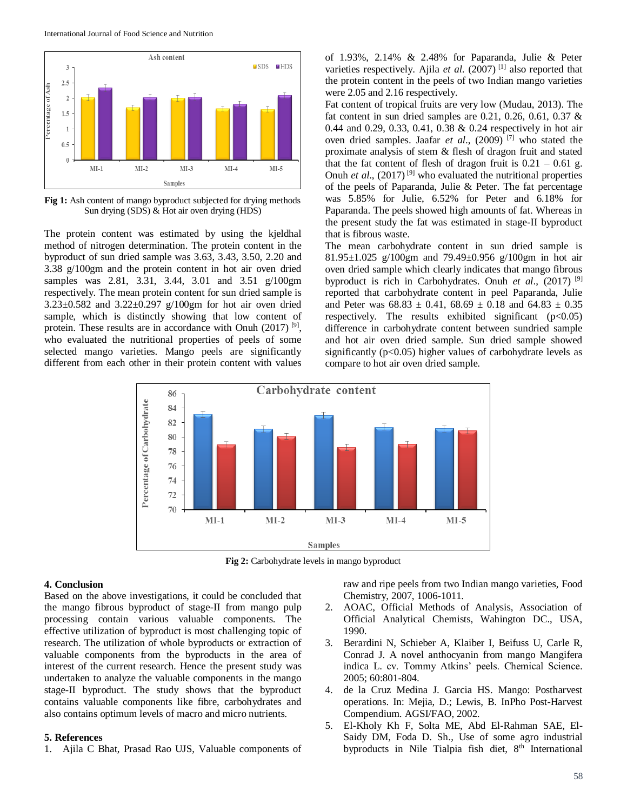International Journal of Food Science and Nutrition



**Fig 1:** Ash content of mango byproduct subjected for drying methods Sun drying (SDS) & Hot air oven drying (HDS)

The protein content was estimated by using the kjeldhal method of nitrogen determination. The protein content in the byproduct of sun dried sample was 3.63, 3.43, 3.50, 2.20 and 3.38 g/100gm and the protein content in hot air oven dried samples was 2.81, 3.31, 3.44, 3.01 and 3.51 g/100gm respectively. The mean protein content for sun dried sample is 3.23±0.582 and 3.22±0.297 g/100gm for hot air oven dried sample, which is distinctly showing that low content of protein. These results are in accordance with Onuh  $(2017)$ <sup>[9]</sup>, who evaluated the nutritional properties of peels of some selected mango varieties. Mango peels are significantly different from each other in their protein content with values

of 1.93%, 2.14% & 2.48% for Paparanda, Julie & Peter varieties respectively. Ajila *et al*. (2007) [1] also reported that the protein content in the peels of two Indian mango varieties were 2.05 and 2.16 respectively.

Fat content of tropical fruits are very low (Mudau, 2013). The fat content in sun dried samples are  $0.21, 0.26, 0.61, 0.37$  & 0.44 and 0.29, 0.33, 0.41, 0.38 & 0.24 respectively in hot air oven dried samples. Jaafar *et al*., (2009) [7] who stated the proximate analysis of stem & flesh of dragon fruit and stated that the fat content of flesh of dragon fruit is  $0.21 - 0.61$  g. Onuh *et al.*,  $(2017)^{9}$  who evaluated the nutritional properties of the peels of Paparanda, Julie & Peter. The fat percentage was 5.85% for Julie, 6.52% for Peter and 6.18% for Paparanda. The peels showed high amounts of fat. Whereas in the present study the fat was estimated in stage-II byproduct that is fibrous waste.

The mean carbohydrate content in sun dried sample is 81.95±1.025 g/100gm and 79.49±0.956 g/100gm in hot air oven dried sample which clearly indicates that mango fibrous byproduct is rich in Carbohydrates. Onuh *et al*., (2017) [9] reported that carbohydrate content in peel Paparanda, Julie and Peter was  $68.83 \pm 0.41$ ,  $68.69 \pm 0.18$  and  $64.83 \pm 0.35$ respectively. The results exhibited significant  $(p<0.05)$ difference in carbohydrate content between sundried sample and hot air oven dried sample. Sun dried sample showed significantly  $(p<0.05)$  higher values of carbohydrate levels as compare to hot air oven dried sample.



**Fig 2:** Carbohydrate levels in mango byproduct

### **4. Conclusion**

Based on the above investigations, it could be concluded that the mango fibrous byproduct of stage-II from mango pulp processing contain various valuable components. The effective utilization of byproduct is most challenging topic of research. The utilization of whole byproducts or extraction of valuable components from the byproducts in the area of interest of the current research. Hence the present study was undertaken to analyze the valuable components in the mango stage-II byproduct. The study shows that the byproduct contains valuable components like fibre, carbohydrates and also contains optimum levels of macro and micro nutrients.

### **5. References**

1. Ajila C Bhat, Prasad Rao UJS, Valuable components of

raw and ripe peels from two Indian mango varieties, Food Chemistry, 2007, 1006-1011.

- 2. AOAC, Official Methods of Analysis, Association of Official Analytical Chemists, Wahington DC., USA, 1990.
- 3. Berardini N, Schieber A, Klaiber I, Beifuss U, Carle R, Conrad J. A novel anthocyanin from mango Mangifera indica L. cv. Tommy Atkins' peels. Chemical Science. 2005; 60:801-804.
- 4. de la Cruz Medina J. Garcia HS. Mango: Postharvest operations. In: Mejia, D.; Lewis, B. InPho Post-Harvest Compendium. AGSI/FAO, 2002.
- 5. El-Kholy Kh F, Solta ME, Abd El-Rahman SAE, El-Saidy DM, Foda D. Sh., Use of some agro industrial byproducts in Nile Tialpia fish diet, 8<sup>th</sup> International